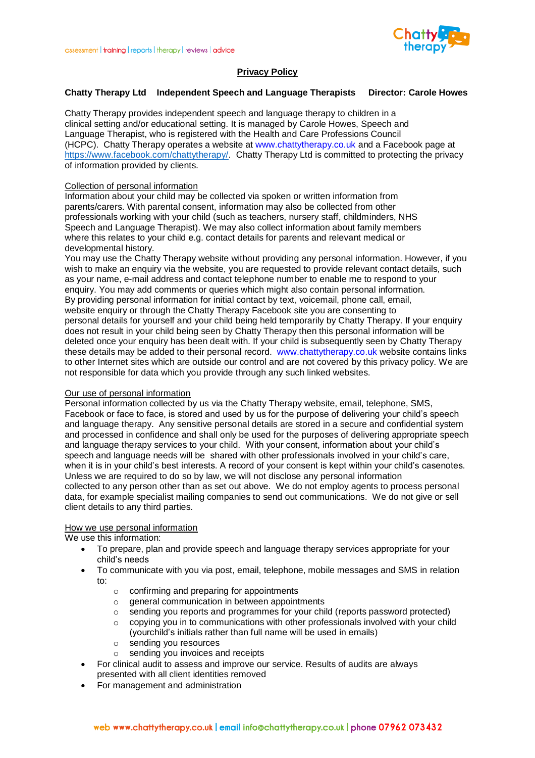

# **Privacy Policy**

### **Chatty Therapy Ltd Independent Speech and Language Therapists Director: Carole Howes**

Chatty Therapy provides independent speech and language therapy to children in a clinical setting and/or educational setting. It is managed by Carole Howes, Speech and Language Therapist, who is registered with the Health and Care Professions Council (HCPC). Chatty Therapy operates a website at www.chattytherapy.co.uk and a Facebook page at [https://www.facebook.com/chattytherapy/.](https://www.facebook.com/chattytherapy/) Chatty Therapy Ltd is committed to protecting the privacy of information provided by clients.

#### Collection of personal information

Information about your child may be collected via spoken or written information from parents/carers. With parental consent, information may also be collected from other professionals working with your child (such as teachers, nursery staff, childminders, NHS Speech and Language Therapist). We may also collect information about family members where this relates to your child e.g. contact details for parents and relevant medical or developmental history.

You may use the Chatty Therapy website without providing any personal information. However, if you wish to make an enquiry via the website, you are requested to provide relevant contact details, such as your name, e-mail address and contact telephone number to enable me to respond to your enquiry. You may add comments or queries which might also contain personal information. By providing personal information for initial contact by text, voicemail, phone call, email, website enquiry or through the Chatty Therapy Facebook site you are consenting to personal details for yourself and your child being held temporarily by Chatty Therapy. If your enquiry does not result in your child being seen by Chatty Therapy then this personal information will be deleted once your enquiry has been dealt with. If your child is subsequently seen by Chatty Therapy these details may be added to their personal record. www.chattytherapy.co.uk website contains links to other Internet sites which are outside our control and are not covered by this privacy policy. We are not responsible for data which you provide through any such linked websites.

### Our use of personal information

Personal information collected by us via the Chatty Therapy website, email, telephone, SMS, Facebook or face to face, is stored and used by us for the purpose of delivering your child's speech and language therapy. Any sensitive personal details are stored in a secure and confidential system and processed in confidence and shall only be used for the purposes of delivering appropriate speech and language therapy services to your child. With your consent, information about your child's speech and language needs will be shared with other professionals involved in your child's care, when it is in your child's best interests. A record of your consent is kept within your child's casenotes. Unless we are required to do so by law, we will not disclose any personal information collected to any person other than as set out above. We do not employ agents to process personal data, for example specialist mailing companies to send out communications. We do not give or sell client details to any third parties.

#### How we use personal information

We use this information:

- To prepare, plan and provide speech and language therapy services appropriate for your child's needs
- To communicate with you via post, email, telephone, mobile messages and SMS in relation to:
	- $\circ$  confirming and preparing for appointments
	- $\circ$  general communication in between appointments
	- $\circ$  sending you reports and programmes for your child (reports password protected)
	- $\circ$  copying you in to communications with other professionals involved with your child (yourchild's initials rather than full name will be used in emails)
	- o sending you resources
	- o sending you invoices and receipts
- For clinical audit to assess and improve our service. Results of audits are always presented with all client identities removed
- For management and administration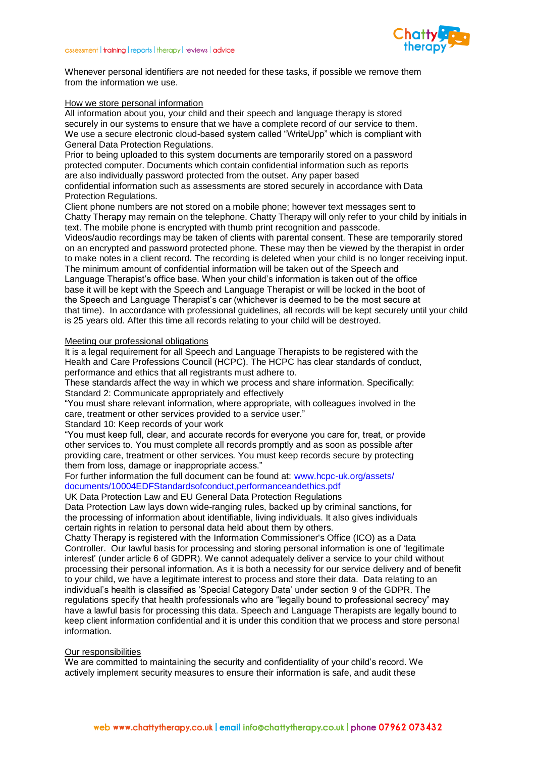

Whenever personal identifiers are not needed for these tasks, if possible we remove them from the information we use.

#### How we store personal information

All information about you, your child and their speech and language therapy is stored securely in our systems to ensure that we have a complete record of our service to them. We use a secure electronic cloud-based system called "WriteUpp" which is compliant with General Data Protection Regulations.

Prior to being uploaded to this system documents are temporarily stored on a password protected computer. Documents which contain confidential information such as reports are also individually password protected from the outset. Any paper based

confidential information such as assessments are stored securely in accordance with Data Protection Regulations.

Client phone numbers are not stored on a mobile phone; however text messages sent to Chatty Therapy may remain on the telephone. Chatty Therapy will only refer to your child by initials in text. The mobile phone is encrypted with thumb print recognition and passcode.

Videos/audio recordings may be taken of clients with parental consent. These are temporarily stored on an encrypted and password protected phone. These may then be viewed by the therapist in order to make notes in a client record. The recording is deleted when your child is no longer receiving input. The minimum amount of confidential information will be taken out of the Speech and Language Therapist's office base. When your child's information is taken out of the office base it will be kept with the Speech and Language Therapist or will be locked in the boot of the Speech and Language Therapist's car (whichever is deemed to be the most secure at that time). In accordance with professional guidelines, all records will be kept securely until your child is 25 years old. After this time all records relating to your child will be destroyed.

#### Meeting our professional obligations

It is a legal requirement for all Speech and Language Therapists to be registered with the Health and Care Professions Council (HCPC). The HCPC has clear standards of conduct, performance and ethics that all registrants must adhere to.

These standards affect the way in which we process and share information. Specifically: Standard 2: Communicate appropriately and effectively

"You must share relevant information, where appropriate, with colleagues involved in the care, treatment or other services provided to a service user."

Standard 10: Keep records of your work

"You must keep full, clear, and accurate records for everyone you care for, treat, or provide other services to. You must complete all records promptly and as soon as possible after providing care, treatment or other services. You must keep records secure by protecting them from loss, damage or inappropriate access."

For further information the full document can be found at: www.hcpc-uk.org/assets/ documents/10004EDFStandardsofconduct,performanceandethics.pdf

UK Data Protection Law and EU General Data Protection Regulations

Data Protection Law lays down wide-ranging rules, backed up by criminal sanctions, for the processing of information about identifiable, living individuals. It also gives individuals certain rights in relation to personal data held about them by others.

Chatty Therapy is registered with the Information Commissioner's Office (ICO) as a Data Controller. Our lawful basis for processing and storing personal information is one of 'legitimate interest' (under article 6 of GDPR). We cannot adequately deliver a service to your child without processing their personal information. As it is both a necessity for our service delivery and of benefit to your child, we have a legitimate interest to process and store their data. Data relating to an individual's health is classified as 'Special Category Data' under section 9 of the GDPR. The regulations specify that health professionals who are "legally bound to professional secrecy" may have a lawful basis for processing this data. Speech and Language Therapists are legally bound to keep client information confidential and it is under this condition that we process and store personal information.

## Our responsibilities

We are committed to maintaining the security and confidentiality of your child's record. We actively implement security measures to ensure their information is safe, and audit these